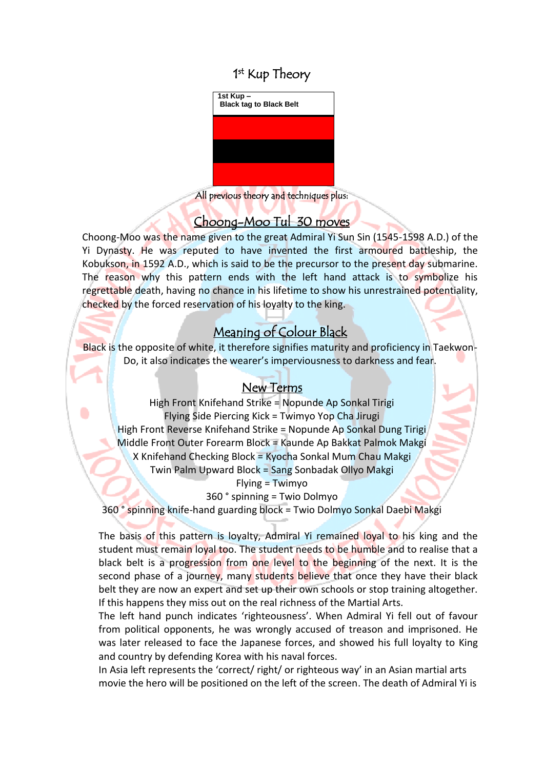## 1<sup>st</sup> Kup Theory



All previous theory and techniques plus: I

### Choong-Moo Tul 30 moves

Choong-Moo was the name given to the great Admiral Yi Sun Sin (1545-1598 A.D.) of the Yi Dynasty. He was reputed to have invented the first armoured battleship, the Kobukson, in 1592 A.D., which is said to be the precursor to the present day submarine. The reason why this pattern ends with the left hand attack is to symbolize his regrettable death, having no chance in his lifetime to show his unrestrained potentiality, checked by the forced reservation of his loyalty to the king.

## Meaning of Colour Black

Black is the opposite of white, it therefore signifies maturity and proficiency in Taekwon-Do, it also indicates the wearer's imperviousness to darkness and fear.

### New Terms

High Front Knifehand Strike = Nopunde Ap Sonkal Tirigi Flying Side Piercing Kick = Twimyo Yop Cha Jirugi High Front Reverse Knifehand Strike = Nopunde Ap Sonkal Dung Tirigi Middle Front Outer Forearm Block = Kaunde Ap Bakkat Palmok Makgi X Knifehand Checking Block = Kyocha Sonkal Mum Chau Makgi Twin Palm Upward Block = Sang Sonbadak Ollyo Makgi  $Flying = Twimyo$ 

360 ° spinning = Twio Dolmyo

360 ° spinning knife-hand guarding block = Twio Dolmyo Sonkal Daebi Makgi

The basis of this pattern is loyalty, Admiral Yi remained loyal to his king and the student must remain loyal too. The student needs to be humble and to realise that a black belt is a progression from one level to the beginning of the next. It is the second phase of a journey, many students believe that once they have their black belt they are now an expert and set up their own schools or stop training altogether. If this happens they miss out on the real richness of the Martial Arts.

The left hand punch indicates 'righteousness'. When Admiral Yi fell out of favour from political opponents, he was wrongly accused of treason and imprisoned. He was later released to face the Japanese forces, and showed his full loyalty to King and country by defending Korea with his naval forces.

In Asia left represents the 'correct/ right/ or righteous way' in an Asian martial arts movie the hero will be positioned on the left of the screen. The death of Admiral Yi is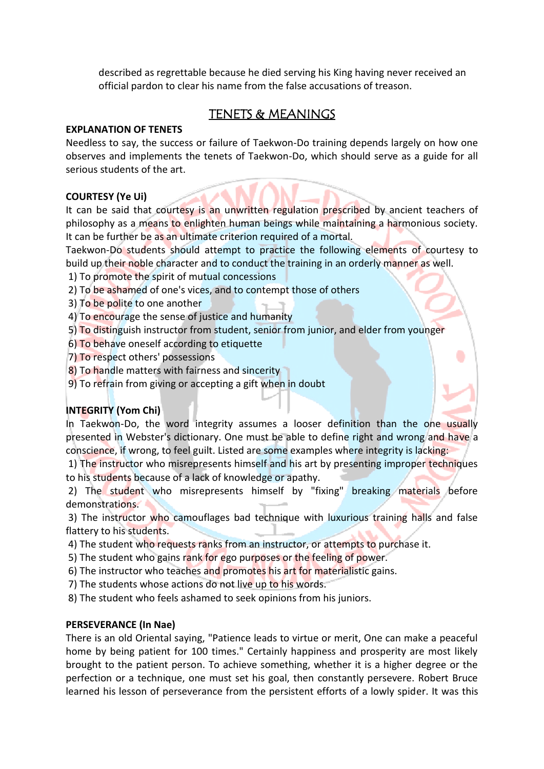described as regrettable because he died serving his King having never received an official pardon to clear his name from the false accusations of treason.

### TENETS & MEANINGS

#### **EXPLANATION OF TENETS**

Needless to say, the success or failure of Taekwon-Do training depends largely on how one observes and implements the tenets of Taekwon-Do, which should serve as a guide for all serious students of the art.

#### **COURTESY (Ye Ui)**

It can be said that courtesy is an unwritten regulation prescribed by ancient teachers of philosophy as a means to enlighten human beings while maintaining a harmonious society. It can be further be as an ultimate criterion required of a mortal.

Taekwon-Do students should attempt to practice the following elements of courtesy to build up their noble character and to conduct the training in an orderly manner as well.

- 1) To promote the spirit of mutual concessions
- 2) To be ashamed of one's vices, and to contempt those of others
- 3) To be polite to one another
- 4) To encourage the sense of justice and humanity
- 5) To distinguish instructor from student, senior from junior, and elder from younger
- 6) To behave oneself according to etiquette
- 7) To respect others' possessions
- 8) To handle matters with fairness and sincerity
- 9) To refrain from giving or accepting a gift when in doubt

### **INTEGRITY (Yom Chi)**

In Taekwon-Do, the word integrity assumes a looser definition than the one usually presented in Webster's dictionary. One must be able to define right and wrong and have a conscience, if wrong, to feel guilt. Listed are some examples where integrity is lacking:

1) The instructor who misrepresents himself and his art by presenting improper techniques to his students because of a lack of knowledge or apathy.

2) The student who misrepresents himself by "fixing" breaking materials before demonstrations.

3) The instructor who camouflages bad technique with luxurious training halls and false flattery to his students.

- 4) The student who requests ranks from an instructor, or attempts to purchase it.
- 5) The student who gains rank for ego purposes or the feeling of power.
- 6) The instructor who teaches and promotes his art for materialistic gains.

7) The students whose actions do not live up to his words.

8) The student who feels ashamed to seek opinions from his juniors.

#### **PERSEVERANCE (In Nae)**

There is an old Oriental saying, "Patience leads to virtue or merit, One can make a peaceful home by being patient for 100 times." Certainly happiness and prosperity are most likely brought to the patient person. To achieve something, whether it is a higher degree or the perfection or a technique, one must set his goal, then constantly persevere. Robert Bruce learned his lesson of perseverance from the persistent efforts of a lowly spider. It was this